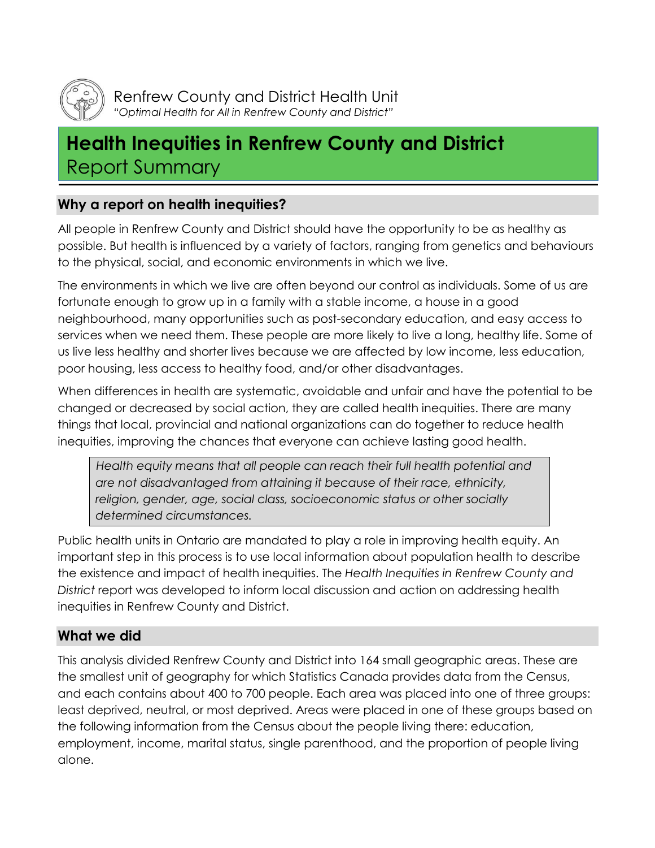

Renfrew County and District Health Unit *"Optimal Health for All in Renfrew County and District"*

# **Health Inequities in Renfrew County and District** Report Summary

## **Why a report on health inequities?**

All people in Renfrew County and District should have the opportunity to be as healthy as possible. But health is influenced by a variety of factors, ranging from genetics and behaviours to the physical, social, and economic environments in which we live.

The environments in which we live are often beyond our control as individuals. Some of us are fortunate enough to grow up in a family with a stable income, a house in a good neighbourhood, many opportunities such as post-secondary education, and easy access to services when we need them. These people are more likely to live a long, healthy life. Some of us live less healthy and shorter lives because we are affected by low income, less education, poor housing, less access to healthy food, and/or other disadvantages.

When differences in health are systematic, avoidable and unfair and have the potential to be changed or decreased by social action, they are called health inequities. There are many things that local, provincial and national organizations can do together to reduce health inequities, improving the chances that everyone can achieve lasting good health.

*Health equity means that all people can reach their full health potential and are not disadvantaged from attaining it because of their race, ethnicity, religion, gender, age, social class, socioeconomic status or other socially determined circumstances.*

Public health units in Ontario are mandated to play a role in improving health equity. An important step in this process is to use local information about population health to describe the existence and impact of health inequities. The *Health Inequities in Renfrew County and District* report was developed to inform local discussion and action on addressing health inequities in Renfrew County and District.

# **What we did**

This analysis divided Renfrew County and District into 164 small geographic areas. These are the smallest unit of geography for which Statistics Canada provides data from the Census, and each contains about 400 to 700 people. Each area was placed into one of three groups: least deprived, neutral, or most deprived. Areas were placed in one of these groups based on the following information from the Census about the people living there: education, employment, income, marital status, single parenthood, and the proportion of people living alone.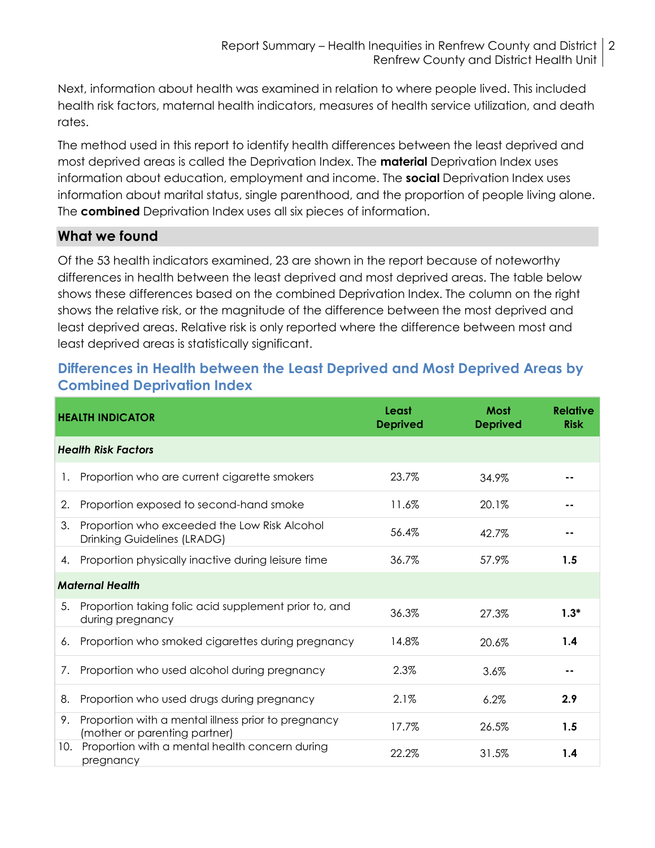Next, information about health was examined in relation to where people lived. This included health risk factors, maternal health indicators, measures of health service utilization, and death rates.

The method used in this report to identify health differences between the least deprived and most deprived areas is called the Deprivation Index. The **material** Deprivation Index uses information about education, employment and income. The **social** Deprivation Index uses information about marital status, single parenthood, and the proportion of people living alone. The **combined** Deprivation Index uses all six pieces of information.

## **What we found**

Of the 53 health indicators examined, 23 are shown in the report because of noteworthy differences in health between the least deprived and most deprived areas. The table below shows these differences based on the combined Deprivation Index. The column on the right shows the relative risk, or the magnitude of the difference between the most deprived and least deprived areas. Relative risk is only reported where the difference between most and least deprived areas is statistically significant.

## **Differences in Health between the Least Deprived and Most Deprived Areas by Combined Deprivation Index**

|                            | <b>HEALTH INDICATOR</b>                                                              | Least<br><b>Deprived</b> | Most<br><b>Deprived</b> | <b>Relative</b><br><b>Risk</b> |
|----------------------------|--------------------------------------------------------------------------------------|--------------------------|-------------------------|--------------------------------|
| <b>Health Risk Factors</b> |                                                                                      |                          |                         |                                |
| 1.                         | Proportion who are current cigarette smokers                                         | 23.7%                    | 34.9%                   |                                |
| 2.                         | Proportion exposed to second-hand smoke                                              | 11.6%                    | 20.1%                   |                                |
| 3.                         | Proportion who exceeded the Low Risk Alcohol<br><b>Drinking Guidelines (LRADG)</b>   | 56.4%                    | 42.7%                   |                                |
| 4.                         | Proportion physically inactive during leisure time                                   | 36.7%                    | 57.9%                   | 1.5                            |
| <b>Maternal Health</b>     |                                                                                      |                          |                         |                                |
| 5.                         | Proportion taking folic acid supplement prior to, and<br>during pregnancy            | 36.3%                    | 27.3%                   | $1.3*$                         |
| 6.                         | Proportion who smoked cigarettes during pregnancy                                    | 14.8%                    | 20.6%                   | 1.4                            |
| 7.                         | Proportion who used alcohol during pregnancy                                         | 2.3%                     | 3.6%                    |                                |
| 8.                         | Proportion who used drugs during pregnancy                                           | 2.1%                     | 6.2%                    | 2.9                            |
| 9.                         | Proportion with a mental illness prior to pregnancy<br>(mother or parenting partner) | 17.7%                    | 26.5%                   | 1.5                            |
| 10.                        | Proportion with a mental health concern during<br>pregnancy                          | 22.2%                    | 31.5%                   | 1.4                            |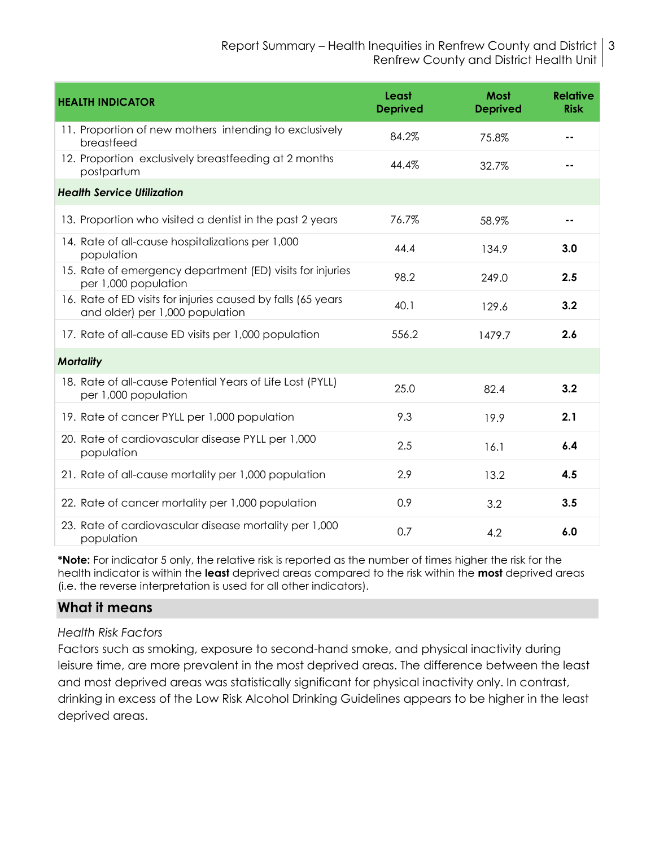| <b>HEALTH INDICATOR</b>                                                                         | Least<br><b>Deprived</b> | <b>Most</b><br><b>Deprived</b> | <b>Relative</b><br><b>Risk</b> |
|-------------------------------------------------------------------------------------------------|--------------------------|--------------------------------|--------------------------------|
| 11. Proportion of new mothers intending to exclusively<br>breastfeed                            | 84.2%                    | 75.8%                          |                                |
| 12. Proportion exclusively breastfeeding at 2 months<br>postpartum                              | 44.4%                    | 32.7%                          |                                |
| <b>Health Service Utilization</b>                                                               |                          |                                |                                |
| 13. Proportion who visited a dentist in the past 2 years                                        | 76.7%                    | 58.9%                          | - -                            |
| 14. Rate of all-cause hospitalizations per 1,000<br>population                                  | 44.4                     | 134.9                          | 3.0                            |
| 15. Rate of emergency department (ED) visits for injuries<br>per 1,000 population               | 98.2                     | 249.0                          | 2.5                            |
| 16. Rate of ED visits for injuries caused by falls (65 years<br>and older) per 1,000 population | 40.1                     | 129.6                          | 3.2                            |
| 17. Rate of all-cause ED visits per 1,000 population                                            | 556.2                    | 1479.7                         | 2.6                            |
| <b>Mortality</b>                                                                                |                          |                                |                                |
| 18. Rate of all-cause Potential Years of Life Lost (PYLL)<br>per 1,000 population               | 25.0                     | 82.4                           | 3.2                            |
| 19. Rate of cancer PYLL per 1,000 population                                                    | 9.3                      | 19.9                           | 2.1                            |
| 20. Rate of cardiovascular disease PYLL per 1,000<br>population                                 | 2.5                      | 16.1                           | 6.4                            |
| 21. Rate of all-cause mortality per 1,000 population                                            | 2.9                      | 13.2                           | 4.5                            |
| 22. Rate of cancer mortality per 1,000 population                                               | 0.9                      | 3.2                            | 3.5                            |
| 23. Rate of cardiovascular disease mortality per 1,000<br>population                            | 0.7                      | 4.2                            | 6.0                            |

**\*Note:** For indicator 5 only, the relative risk is reported as the number of times higher the risk for the health indicator is within the **least** deprived areas compared to the risk within the **most** deprived areas (i.e. the reverse interpretation is used for all other indicators).

## **What it means**

#### *Health Risk Factors*

Factors such as smoking, exposure to second-hand smoke, and physical inactivity during leisure time, are more prevalent in the most deprived areas. The difference between the least and most deprived areas was statistically significant for physical inactivity only. In contrast, drinking in excess of the Low Risk Alcohol Drinking Guidelines appears to be higher in the least deprived areas.